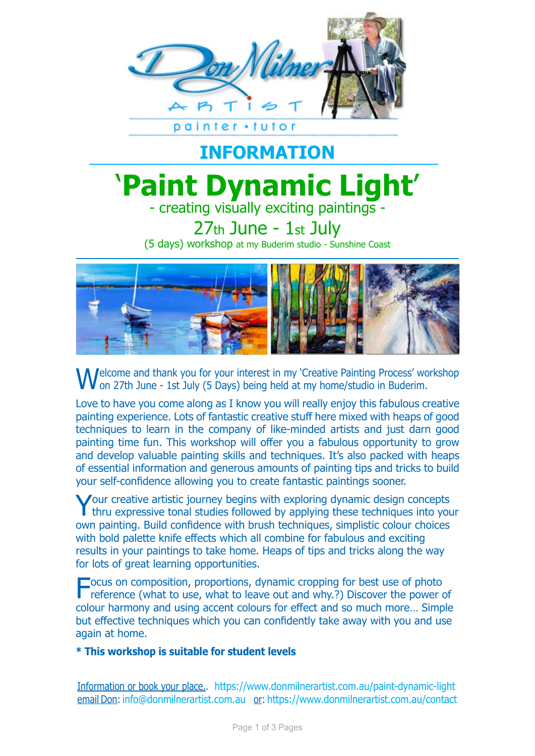

## **INFORMATION**

# '**Paint Dynamic Light**'

- creating visually exciting paintings -

# 27th June - 1st July

(5 days) workshop at my Buderim studio - Sunshine Coast



Velcome and thank you for your interest in my 'Creative Painting Process' workshop on 27th June - 1st July (5 Days) being held at my home/studio in Buderim.

Love to have you come along as I know you will really enjoy this fabulous creative painting experience. Lots of fantastic creative stuff here mixed with heaps of good techniques to learn in the company of like-minded artists and just darn good painting time fun. This workshop will offer you a fabulous opportunity to grow and develop valuable painting skills and techniques. It's also packed with heaps of essential information and generous amounts of painting tips and tricks to build your self-confidence allowing you to create fantastic paintings sooner.

Your creative artistic journey begins with exploring dynamic design concepts<br>thru expressive tonal studies followed by applying these techniques into your own painting. Build confidence with brush techniques, simplistic colour choices with bold palette knife effects which all combine for fabulous and exciting results in your paintings to take home. Heaps of tips and tricks along the way for lots of great learning opportunities.

**Focus on composition, proportions, dynamic cropping for best use of photo**<br>reference (what to use, what to leave out and why.?) Discover the power of colour harmony and using accent colours for effect and so much more… Simple but effective techniques which you can confidently take away with you and use again at home.

**\* This workshop is suitable for student levels**

Information or book your place.. https://www.donmilnerartist.com.au/paint-dynamic-light email Don: info@donmilnerartist.com.au or: https://www.donmilnerartist.com.au/contact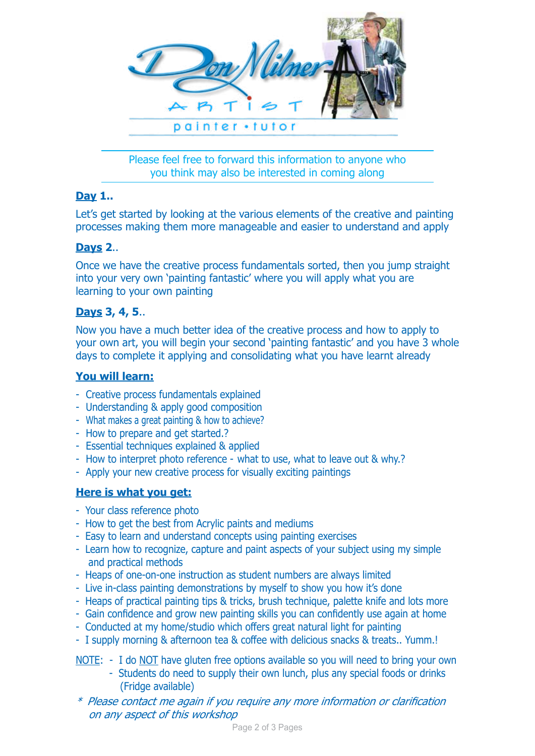

Please feel free to forward this information to anyone who you think may also be interested in coming along

## **Day 1..**

Let's get started by looking at the various elements of the creative and painting processes making them more manageable and easier to understand and apply

## **Days 2**..

Once we have the creative process fundamentals sorted, then you jump straight into your very own 'painting fantastic' where you will apply what you are learning to your own painting

## **Days 3, 4, 5**..

Now you have a much better idea of the creative process and how to apply to your own art, you will begin your second 'painting fantastic' and you have 3 whole days to complete it applying and consolidating what you have learnt already

#### **You will learn:**

- Creative process fundamentals explained
- Understanding & apply good composition
- What makes a great painting & how to achieve?
- How to prepare and get started.?
- Essential techniques explained & applied
- How to interpret photo reference what to use, what to leave out & why.?
- Apply your new creative process for visually exciting paintings

#### **Here is what you get:**

- Your class reference photo
- How to get the best from Acrylic paints and mediums
- Easy to learn and understand concepts using painting exercises
- Learn how to recognize, capture and paint aspects of your subject using my simple and practical methods
- Heaps of one-on-one instruction as student numbers are always limited
- Live in-class painting demonstrations by myself to show you how it's done
- Heaps of practical painting tips & tricks, brush technique, palette knife and lots more
- Gain confidence and grow new painting skills you can confidently use again at home
- Conducted at my home/studio which offers great natural light for painting
- I supply morning & afternoon tea & coffee with delicious snacks & treats.. Yumm.!
- NOTE: I do NOT have gluten free options available so you will need to bring your own - Students do need to supply their own lunch, plus any special foods or drinks (Fridge available)
- \* Please contact me again if you require any more information or clarification on any aspect of this workshop